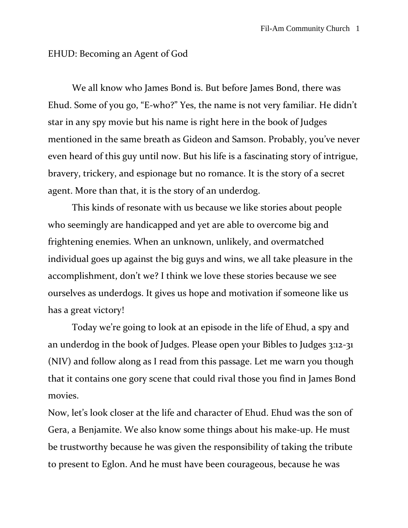## EHUD: Becoming an Agent of God

We all know who James Bond is. But before James Bond, there was Ehud. Some of you go, "E-who?" Yes, the name is not very familiar. He didn't star in any spy movie but his name is right here in the book of Judges mentioned in the same breath as Gideon and Samson. Probably, you've never even heard of this guy until now. But his life is a fascinating story of intrigue, bravery, trickery, and espionage but no romance. It is the story of a secret agent. More than that, it is the story of an underdog.

This kinds of resonate with us because we like stories about people who seemingly are handicapped and yet are able to overcome big and frightening enemies. When an unknown, unlikely, and overmatched individual goes up against the big guys and wins, we all take pleasure in the accomplishment, don't we? I think we love these stories because we see ourselves as underdogs. It gives us hope and motivation if someone like us has a great victory!

Today we're going to look at an episode in the life of Ehud, a spy and an underdog in the book of Judges. Please open your Bibles to Judges 3:12-31 (NIV) and follow along as I read from this passage. Let me warn you though that it contains one gory scene that could rival those you find in James Bond movies.

Now, let's look closer at the life and character of Ehud. Ehud was the son of Gera, a Benjamite. We also know some things about his make-up. He must be trustworthy because he was given the responsibility of taking the tribute to present to Eglon. And he must have been courageous, because he was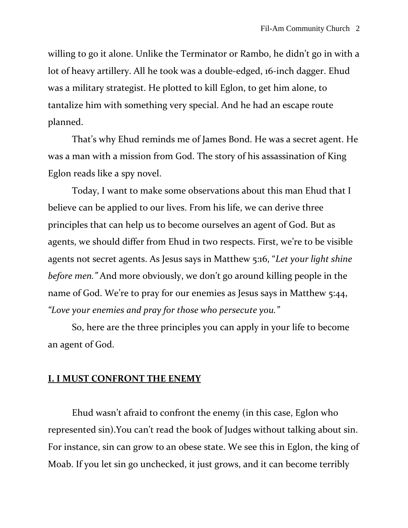willing to go it alone. Unlike the Terminator or Rambo, he didn't go in with a lot of heavy artillery. All he took was a double-edged, 16-inch dagger. Ehud was a military strategist. He plotted to kill Eglon, to get him alone, to tantalize him with something very special. And he had an escape route planned.

That's why Ehud reminds me of James Bond. He was a secret agent. He was a man with a mission from God. The story of his assassination of King Eglon reads like a spy novel.

Today, I want to make some observations about this man Ehud that I believe can be applied to our lives. From his life, we can derive three principles that can help us to become ourselves an agent of God. But as agents, we should differ from Ehud in two respects. First, we're to be visible agents not secret agents. As Jesus says in Matthew 5:16, "*Let your light shine before men."* And more obviously, we don't go around killing people in the name of God. We're to pray for our enemies as Jesus says in Matthew 5:44, *"Love your enemies and pray for those who persecute you."* 

So, here are the three principles you can apply in your life to become an agent of God.

## **I. I MUST CONFRONT THE ENEMY**

Ehud wasn't afraid to confront the enemy (in this case, Eglon who represented sin).You can't read the book of Judges without talking about sin. For instance, sin can grow to an obese state. We see this in Eglon, the king of Moab. If you let sin go unchecked, it just grows, and it can become terribly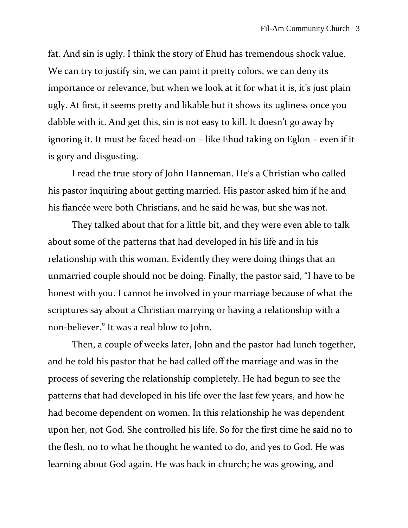fat. And sin is ugly. I think the story of Ehud has tremendous shock value. We can try to justify sin, we can paint it pretty colors, we can deny its importance or relevance, but when we look at it for what it is, it's just plain ugly. At first, it seems pretty and likable but it shows its ugliness once you dabble with it. And get this, sin is not easy to kill. It doesn't go away by ignoring it. It must be faced head-on – like Ehud taking on Eglon – even if it is gory and disgusting.

I read the true story of John Hanneman. He's a Christian who called his pastor inquiring about getting married. His pastor asked him if he and his fiancée were both Christians, and he said he was, but she was not.

They talked about that for a little bit, and they were even able to talk about some of the patterns that had developed in his life and in his relationship with this woman. Evidently they were doing things that an unmarried couple should not be doing. Finally, the pastor said, "I have to be honest with you. I cannot be involved in your marriage because of what the scriptures say about a Christian marrying or having a relationship with a non-believer." It was a real blow to John.

Then, a couple of weeks later, John and the pastor had lunch together, and he told his pastor that he had called off the marriage and was in the process of severing the relationship completely. He had begun to see the patterns that had developed in his life over the last few years, and how he had become dependent on women. In this relationship he was dependent upon her, not God. She controlled his life. So for the first time he said no to the flesh, no to what he thought he wanted to do, and yes to God. He was learning about God again. He was back in church; he was growing, and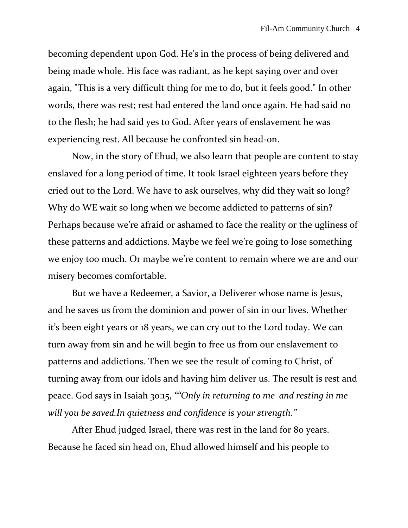becoming dependent upon God. He's in the process of being delivered and being made whole. His face was radiant, as he kept saying over and over again, "This is a very difficult thing for me to do, but it feels good." In other words, there was rest; rest had entered the land once again. He had said no to the flesh; he had said yes to God. After years of enslavement he was experiencing rest. All because he confronted sin head-on.

Now, in the story of Ehud, we also learn that people are content to stay enslaved for a long period of time. It took Israel eighteen years before they cried out to the Lord. We have to ask ourselves, why did they wait so long? Why do WE wait so long when we become addicted to patterns of sin? Perhaps because we're afraid or ashamed to face the reality or the ugliness of these patterns and addictions. Maybe we feel we're going to lose something we enjoy too much. Or maybe we're content to remain where we are and our misery becomes comfortable.

But we have a Redeemer, a Savior, a Deliverer whose name is Jesus, and he saves us from the dominion and power of sin in our lives. Whether it's been eight years or 18 years, we can cry out to the Lord today. We can turn away from sin and he will begin to free us from our enslavement to patterns and addictions. Then we see the result of coming to Christ, of turning away from our idols and having him deliver us. The result is rest and peace. God says in Isaiah 30:15, *""Only in returning to me and resting in me will you be saved.In quietness and confidence is your strength."*

After Ehud judged Israel, there was rest in the land for 80 years. Because he faced sin head on, Ehud allowed himself and his people to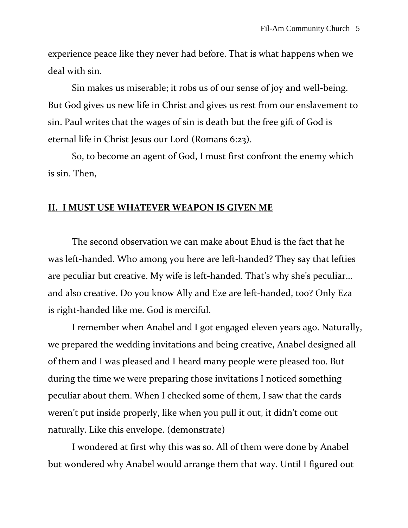experience peace like they never had before. That is what happens when we deal with sin.

Sin makes us miserable; it robs us of our sense of joy and well-being. But God gives us new life in Christ and gives us rest from our enslavement to sin. Paul writes that the wages of sin is death but the free gift of God is eternal life in Christ Jesus our Lord (Romans 6:23).

So, to become an agent of God, I must first confront the enemy which is sin. Then,

## **II. I MUST USE WHATEVER WEAPON IS GIVEN ME**

The second observation we can make about Ehud is the fact that he was left-handed. Who among you here are left-handed? They say that lefties are peculiar but creative. My wife is left-handed. That's why she's peculiar… and also creative. Do you know Ally and Eze are left-handed, too? Only Eza is right-handed like me. God is merciful.

I remember when Anabel and I got engaged eleven years ago. Naturally, we prepared the wedding invitations and being creative, Anabel designed all of them and I was pleased and I heard many people were pleased too. But during the time we were preparing those invitations I noticed something peculiar about them. When I checked some of them, I saw that the cards weren't put inside properly, like when you pull it out, it didn't come out naturally. Like this envelope. (demonstrate)

I wondered at first why this was so. All of them were done by Anabel but wondered why Anabel would arrange them that way. Until I figured out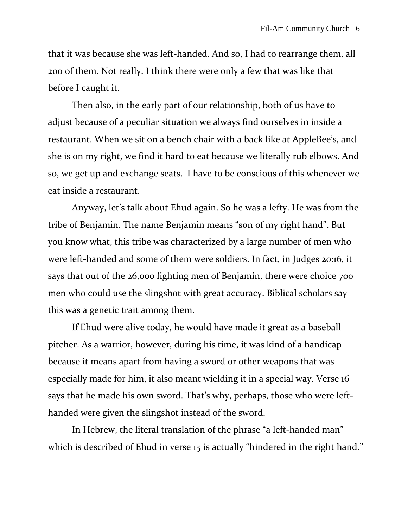that it was because she was left-handed. And so, I had to rearrange them, all 200 of them. Not really. I think there were only a few that was like that before I caught it.

Then also, in the early part of our relationship, both of us have to adjust because of a peculiar situation we always find ourselves in inside a restaurant. When we sit on a bench chair with a back like at AppleBee's, and she is on my right, we find it hard to eat because we literally rub elbows. And so, we get up and exchange seats. I have to be conscious of this whenever we eat inside a restaurant.

Anyway, let's talk about Ehud again. So he was a lefty. He was from the tribe of Benjamin. The name Benjamin means "son of my right hand". But you know what, this tribe was characterized by a large number of men who were left-handed and some of them were soldiers. In fact, in Judges 20:16, it says that out of the 26,000 fighting men of Benjamin, there were choice 700 men who could use the slingshot with great accuracy. Biblical scholars say this was a genetic trait among them.

If Ehud were alive today, he would have made it great as a baseball pitcher. As a warrior, however, during his time, it was kind of a handicap because it means apart from having a sword or other weapons that was especially made for him, it also meant wielding it in a special way. Verse 16 says that he made his own sword. That's why, perhaps, those who were lefthanded were given the slingshot instead of the sword.

In Hebrew, the literal translation of the phrase "a left-handed man" which is described of Ehud in verse 15 is actually "hindered in the right hand."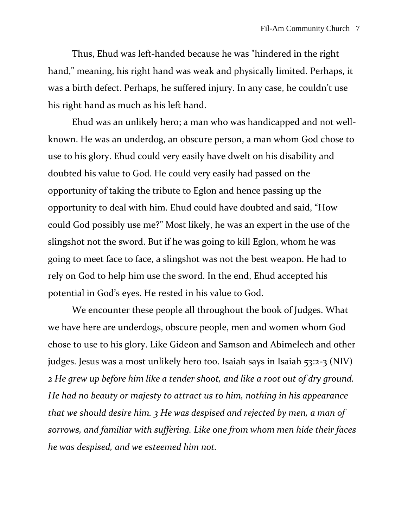Thus, Ehud was left-handed because he was "hindered in the right hand," meaning, his right hand was weak and physically limited. Perhaps, it was a birth defect. Perhaps, he suffered injury. In any case, he couldn't use his right hand as much as his left hand.

Ehud was an unlikely hero; a man who was handicapped and not wellknown. He was an underdog, an obscure person, a man whom God chose to use to his glory. Ehud could very easily have dwelt on his disability and doubted his value to God. He could very easily had passed on the opportunity of taking the tribute to Eglon and hence passing up the opportunity to deal with him. Ehud could have doubted and said, "How could God possibly use me?" Most likely, he was an expert in the use of the slingshot not the sword. But if he was going to kill Eglon, whom he was going to meet face to face, a slingshot was not the best weapon. He had to rely on God to help him use the sword. In the end, Ehud accepted his potential in God's eyes. He rested in his value to God.

We encounter these people all throughout the book of Judges. What we have here are underdogs, obscure people, men and women whom God chose to use to his glory. Like Gideon and Samson and Abimelech and other judges. Jesus was a most unlikely hero too. Isaiah says in Isaiah 53:2-3 (NIV) *2 He grew up before him like a tender shoot, and like a root out of dry ground. He had no beauty or majesty to attract us to him, nothing in his appearance that we should desire him. 3 He was despised and rejected by men, a man of sorrows, and familiar with suffering. Like one from whom men hide their faces he was despised, and we esteemed him not.*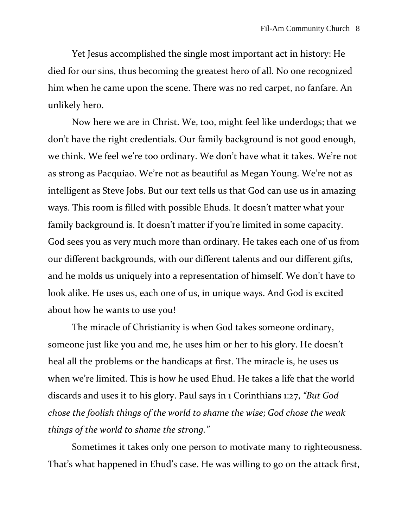Yet Jesus accomplished the single most important act in history: He died for our sins, thus becoming the greatest hero of all. No one recognized him when he came upon the scene. There was no red carpet, no fanfare. An unlikely hero.

Now here we are in Christ. We, too, might feel like underdogs; that we don't have the right credentials. Our family background is not good enough, we think. We feel we're too ordinary. We don't have what it takes. We're not as strong as Pacquiao. We're not as beautiful as Megan Young. We're not as intelligent as Steve Jobs. But our text tells us that God can use us in amazing ways. This room is filled with possible Ehuds. It doesn't matter what your family background is. It doesn't matter if you're limited in some capacity. God sees you as very much more than ordinary. He takes each one of us from our different backgrounds, with our different talents and our different gifts, and he molds us uniquely into a representation of himself. We don't have to look alike. He uses us, each one of us, in unique ways. And God is excited about how he wants to use you!

The miracle of Christianity is when God takes someone ordinary, someone just like you and me, he uses him or her to his glory. He doesn't heal all the problems or the handicaps at first. The miracle is, he uses us when we're limited. This is how he used Ehud. He takes a life that the world discards and uses it to his glory. Paul says in 1 Corinthians 1:27, *"But God chose the foolish things of the world to shame the wise; God chose the weak things of the world to shame the strong."*

Sometimes it takes only one person to motivate many to righteousness. That's what happened in Ehud's case. He was willing to go on the attack first,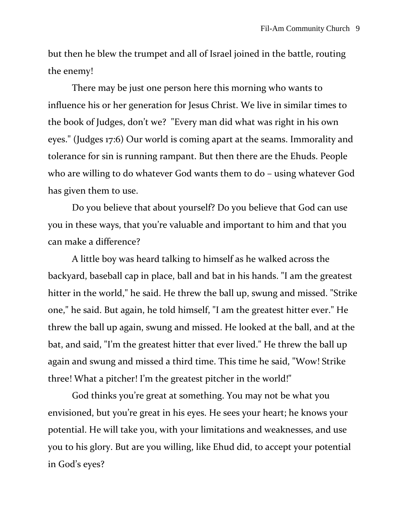but then he blew the trumpet and all of Israel joined in the battle, routing the enemy!

There may be just one person here this morning who wants to influence his or her generation for Jesus Christ. We live in similar times to the book of Judges, don't we? "Every man did what was right in his own eyes." (Judges 17:6) Our world is coming apart at the seams. Immorality and tolerance for sin is running rampant. But then there are the Ehuds. People who are willing to do whatever God wants them to do – using whatever God has given them to use.

Do you believe that about yourself? Do you believe that God can use you in these ways, that you're valuable and important to him and that you can make a difference?

A little boy was heard talking to himself as he walked across the backyard, baseball cap in place, ball and bat in his hands. "I am the greatest hitter in the world," he said. He threw the ball up, swung and missed. "Strike one," he said. But again, he told himself, "I am the greatest hitter ever." He threw the ball up again, swung and missed. He looked at the ball, and at the bat, and said, "I'm the greatest hitter that ever lived." He threw the ball up again and swung and missed a third time. This time he said, "Wow! Strike three! What a pitcher! I'm the greatest pitcher in the world!"

God thinks you're great at something. You may not be what you envisioned, but you're great in his eyes. He sees your heart; he knows your potential. He will take you, with your limitations and weaknesses, and use you to his glory. But are you willing, like Ehud did, to accept your potential in God's eyes?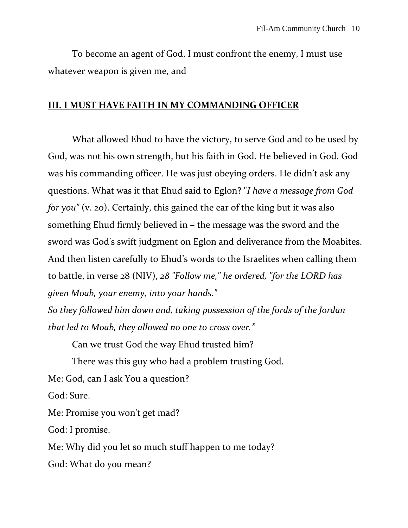To become an agent of God, I must confront the enemy, I must use whatever weapon is given me, and

## **III. I MUST HAVE FAITH IN MY COMMANDING OFFICER**

What allowed Ehud to have the victory, to serve God and to be used by God, was not his own strength, but his faith in God. He believed in God. God was his commanding officer. He was just obeying orders. He didn't ask any questions. What was it that Ehud said to Eglon? "*I have a message from God for you"* (v. 20). Certainly, this gained the ear of the king but it was also something Ehud firmly believed in – the message was the sword and the sword was God's swift judgment on Eglon and deliverance from the Moabites. And then listen carefully to Ehud's words to the Israelites when calling them to battle, in verse 28 (NIV), *28 "Follow me," he ordered, "for the LORD has given Moab, your enemy, into your hands."* 

*So they followed him down and, taking possession of the fords of the Jordan that led to Moab, they allowed no one to cross over."*

Can we trust God the way Ehud trusted him?

There was this guy who had a problem trusting God.

Me: God, can I ask You a question?

God: Sure.

Me: Promise you won't get mad?

God: I promise.

Me: Why did you let so much stuff happen to me today?

God: What do you mean?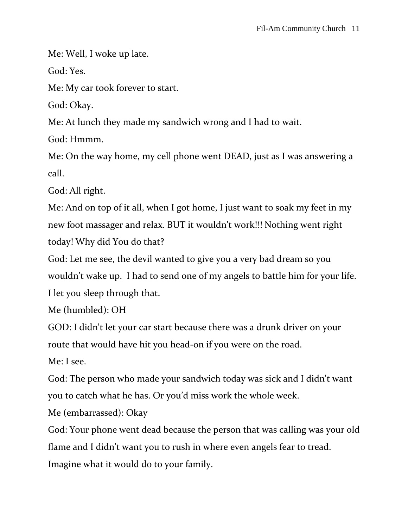Me: Well, I woke up late.

God: Yes.

Me: My car took forever to start.

God: Okay.

Me: At lunch they made my sandwich wrong and I had to wait.

God: Hmmm.

Me: On the way home, my cell phone went DEAD, just as I was answering a call.

God: All right.

Me: And on top of it all, when I got home, I just want to soak my feet in my new foot massager and relax. BUT it wouldn't work!!! Nothing went right today! Why did You do that?

God: Let me see, the devil wanted to give you a very bad dream so you wouldn't wake up. I had to send one of my angels to battle him for your life. I let you sleep through that.

Me (humbled): OH

GOD: I didn't let your car start because there was a drunk driver on your route that would have hit you head-on if you were on the road.

Me: I see.

God: The person who made your sandwich today was sick and I didn't want you to catch what he has. Or you'd miss work the whole week.

Me (embarrassed): Okay

God: Your phone went dead because the person that was calling was your old flame and I didn't want you to rush in where even angels fear to tread. Imagine what it would do to your family.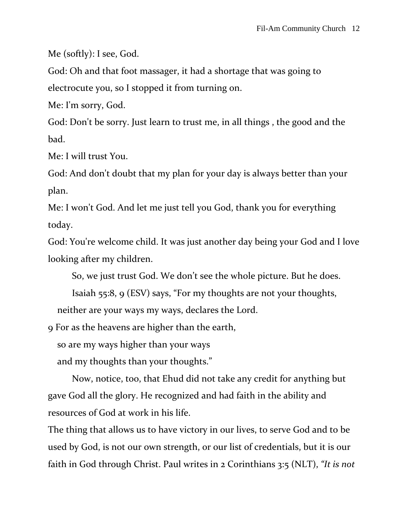Me (softly): I see, God.

God: Oh and that foot massager, it had a shortage that was going to electrocute you, so I stopped it from turning on.

Me: I'm sorry, God.

God: Don't be sorry. Just learn to trust me, in all things , the good and the bad.

Me: I will trust You.

God: And don't doubt that my plan for your day is always better than your plan.

Me: I won't God. And let me just tell you God, thank you for everything today.

God: You're welcome child. It was just another day being your God and I love looking after my children.

So, we just trust God. We don't see the whole picture. But he does.

Isaiah 55:8, 9 (ESV) says, "For my thoughts are not your thoughts, neither are your ways my ways, declares the Lord.

9 For as the heavens are higher than the earth,

so are my ways higher than your ways

and my thoughts than your thoughts."

Now, notice, too, that Ehud did not take any credit for anything but gave God all the glory. He recognized and had faith in the ability and resources of God at work in his life.

The thing that allows us to have victory in our lives, to serve God and to be used by God, is not our own strength, or our list of credentials, but it is our faith in God through Christ. Paul writes in 2 Corinthians 3:5 (NLT), *"It is not*